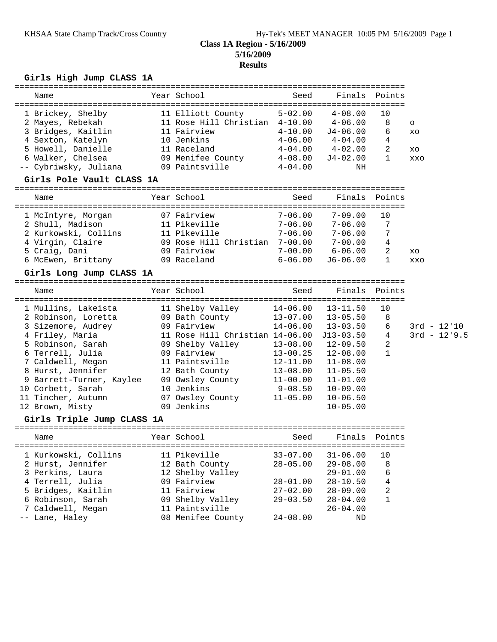# **Class 1A Region - 5/16/2009 5/16/2009 Results**

### **Girls High Jump CLASS 1A**

| Name                                   | Year School                     | Seed         |                            | Finals Points |         |                |
|----------------------------------------|---------------------------------|--------------|----------------------------|---------------|---------|----------------|
| 1 Brickey, Shelby                      | 11 Elliott County               |              | $5-02.00$ $4-08.00$        | 10            |         |                |
| 2 Mayes, Rebekah                       | 11 Rose Hill Christian 4-10.00  |              | $4 - 06.00$                | 8             | $\circ$ |                |
| 3 Bridges, Kaitlin                     | 11 Fairview                     | $4 - 10.00$  | J4-06.00                   | 6             | XO      |                |
| 4 Sexton, Katelyn                      | 10 Jenkins                      | $4 - 06.00$  | $4\hbox{--}04$ . $00$      | 4             |         |                |
| 5 Howell, Danielle                     | 11 Raceland                     |              | $4-04.00$ $4-02.00$        | 2             | XO      |                |
| 6 Walker, Chelsea                      | 09 Menifee County               | $4 - 08.00$  | J4-02.00                   | $\mathbf{1}$  | XXO     |                |
| -- Cybriwsky, Juliana 199 Paintsville  |                                 | $4 - 04.00$  | ΝH                         |               |         |                |
| Girls Pole Vault CLASS 1A              |                                 |              |                            |               |         |                |
| Name                                   | Year School                     | Seed         | Finals                     | Points        |         |                |
|                                        | 07 Fairview                     | $7 - 06.00$  | $7 - 09.00$                | 10            |         |                |
| 1 McIntyre, Morgan<br>2 Shull, Madison | 11 Pikeville                    | $7 - 06.00$  | $7 - 06.00$                | 7             |         |                |
| 2 Kurkowski, Collins                   | 11 Pikeville                    | $7 - 06.00$  | $7 - 06.00$                | 7             |         |                |
| 4 Virgin, Claire                       | 09 Rose Hill Christian 7-00.00  |              | 7-00.00                    | 4             |         |                |
| 5 Craig, Dani                          | 09 Fairview                     | $7 - 00.00$  | $6 - 06.00$                | 2             | XO      |                |
| 6 McEwen, Brittany                     | 09 Raceland                     | $6 - 06.00$  | J6-06.00                   | $\mathbf{1}$  | XXO     |                |
|                                        |                                 |              |                            |               |         |                |
| Girls Long Jump CLASS 1A               |                                 |              |                            |               |         |                |
| Name                                   | Year School                     | Seed         | Finals                     | Points        |         |                |
| 1 Mullins, Lakeista                    | 11 Shelby Valley                | 14-06.00     | $13 - 11.50$               | 10            |         |                |
| 2 Robinson, Loretta                    | 09 Bath County                  | $13 - 07.00$ | $13 - 05.50$               | 8             |         |                |
| 3 Sizemore, Audrey                     | 09 Fairview                     | $14 - 06.00$ | $13 - 03.50$               | 6             |         | $3rd - 12'10$  |
| 4 Friley, Maria                        | 11 Rose Hill Christian 14-06.00 |              | J13-03.50                  | 4             |         | $3rd - 12'9.5$ |
| 5 Robinson, Sarah                      | 09 Shelby Valley                | $13 - 08.00$ | $12 - 09.50$               | 2             |         |                |
| 6 Terrell, Julia                       | 09 Fairview                     | $13 - 00.25$ | $12 - 08.00$               | $\mathbf{1}$  |         |                |
| 7 Caldwell, Megan                      | 11 Paintsville                  | 12-11.00     | $11 - 08.00$               |               |         |                |
| 8 Hurst, Jennifer                      | 12 Bath County                  | 13-08.00     | $11 - 05.50$               |               |         |                |
| 9 Barrett-Turner, Kaylee               | 09 Owsley County                | 11-00.00     | $11 - 01.00$               |               |         |                |
| 10 Corbett, Sarah                      | 10 Jenkins                      | $9 - 08.50$  | $10 - 09.00$               |               |         |                |
| 11 Tincher, Autumn                     | 07 Owsley County 11-05.00       |              | $10 - 06.50$               |               |         |                |
| 12 Brown, Misty                        | 09 Jenkins                      |              | $10 - 05.00$               |               |         |                |
| Girls Triple Jump CLASS 1A             |                                 |              |                            |               |         |                |
| Name                                   | Year School                     | Seed         | Finals                     | Points        |         |                |
| ===================                    | ============                    |              | ========================== |               |         |                |
| 1 Kurkowski, Collins                   | 11 Pikeville                    | $33 - 07.00$ | $31 - 06.00$               | 10            |         |                |
| 2 Hurst, Jennifer                      | 12 Bath County                  | $28 - 05.00$ | $29 - 08.00$               | $\,8\,$       |         |                |
| 3 Perkins, Laura                       | 12 Shelby Valley                |              | $29 - 01.00$               | 6             |         |                |
| 4 Terrell, Julia                       | 09 Fairview                     | $28 - 01.00$ | $28 - 10.50$               | 4             |         |                |
| 5 Bridges, Kaitlin                     | 11 Fairview                     | $27 - 02.00$ | $28 - 09.00$               | 2             |         |                |
| 6 Robinson, Sarah                      | 09 Shelby Valley                | $29 - 03.50$ | $28 - 04.00$               | 1             |         |                |
| 7 Caldwell, Megan                      | 11 Paintsville                  |              | $26 - 04.00$               |               |         |                |
| -- Lane, Haley                         | 08 Menifee County               | $24 - 08.00$ | ND                         |               |         |                |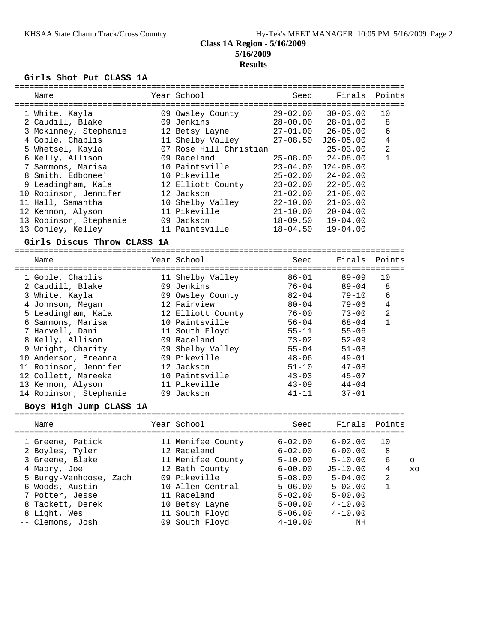### **5/16/2009 Results**

### **Girls Shot Put CLASS 1A**

| Name                        | Year School            | Seed         | Finals        | Points         |               |
|-----------------------------|------------------------|--------------|---------------|----------------|---------------|
| 1 White, Kayla              | 09 Owsley County       | $29 - 02.00$ | $30 - 03.00$  | 10             |               |
| 2 Caudill, Blake            | 09 Jenkins             | $28 - 00.00$ | $28 - 01.00$  | 8              |               |
| 3 Mckinney, Stephanie       | 12 Betsy Layne         | $27 - 01.00$ | $26 - 05.00$  | 6              |               |
| 4 Goble, Chablis            | 11 Shelby Valley       | $27 - 08.50$ | $J26 - 05.00$ | 4              |               |
| 5 Whetsel, Kayla            | 07 Rose Hill Christian |              | $25 - 03.00$  | $\overline{a}$ |               |
| 6 Kelly, Allison            | 09 Raceland            | $25 - 08.00$ | $24 - 08.00$  | $\mathbf{1}$   |               |
| 7 Sammons, Marisa           | 10 Paintsville         | $23 - 04.00$ | $J24-08.00$   |                |               |
| 8 Smith, Edbonee'           | 10 Pikeville           | $25 - 02.00$ | $24 - 02.00$  |                |               |
| 9 Leadingham, Kala          | 12 Elliott County      | $23 - 02.00$ | $22 - 05.00$  |                |               |
| 10 Robinson, Jennifer       | 12 Jackson             | $21 - 02.00$ | $21 - 08.00$  |                |               |
| 11 Hall, Samantha           | 10 Shelby Valley       | $22 - 10.00$ | $21 - 03.00$  |                |               |
| 12 Kennon, Alyson           | 11 Pikeville           | $21 - 10.00$ | $20 - 04.00$  |                |               |
| 13 Robinson, Stephanie      | 09 Jackson             | $18 - 09.50$ | $19 - 04.00$  |                |               |
| 13 Conley, Kelley           | 11 Paintsville         | $18 - 04.50$ | $19 - 04.00$  |                |               |
| Girls Discus Throw CLASS 1A |                        |              |               |                |               |
| Name                        | Year School            | Seed         | Finals        | Points         |               |
| 1 Goble, Chablis            | 11 Shelby Valley       | $86 - 01$    | $89 - 09$     | 10             |               |
| 2 Caudill, Blake            | 09 Jenkins             | $76 - 04$    | $89 - 04$     | 8              |               |
| 3 White, Kayla              | 09 Owsley County       | $82 - 04$    | $79 - 10$     | 6              |               |
| 4 Johnson, Megan            | 12 Fairview            | $80 - 04$    | $79 - 06$     | 4              |               |
| 5 Leadingham, Kala          | 12 Elliott County      | $76 - 00$    | $73 - 00$     | 2              |               |
| 6 Sammons, Marisa           | 10 Paintsville         | $56 - 04$    | $68 - 04$     | $\mathbf{1}$   |               |
| 7 Harvell, Dani             | 11 South Floyd         | $55 - 11$    | $55 - 06$     |                |               |
| 8 Kelly, Allison            | 09 Raceland            | $73 - 02$    | $52 - 09$     |                |               |
| 9 Wright, Charity           | 09 Shelby Valley       | $55 - 04$    | $51 - 08$     |                |               |
| 10 Anderson, Breanna        | 09 Pikeville           | $48 - 06$    | $49 - 01$     |                |               |
| 11 Robinson, Jennifer       | 12 Jackson             | $51 - 10$    | $47 - 08$     |                |               |
| 12 Collett, Mareeka         | 10 Paintsville         | $43 - 03$    | $45 - 07$     |                |               |
| 13 Kennon, Alyson           | 11 Pikeville           | $43 - 09$    | $44 - 04$     |                |               |
| 14 Robinson, Stephanie      | 09 Jackson             | $41 - 11$    | $37 - 01$     |                |               |
| Boys High Jump CLASS 1A     |                        |              |               |                |               |
| Name                        | Year School            | Seed         | Finals        | Points         |               |
| 1 Greene, Patick            | 11 Menifee County      | $6 - 02.00$  | $6 - 02.00$   | 10             |               |
| 2 Boyles, Tyler             | 12 Raceland            | $6 - 02.00$  | $6 - 00.00$   | 8              |               |
| 3 Greene, Blake             | 11 Menifee County      | $5 - 10.00$  | $5 - 10.00$   | 6              |               |
| 4 Mabry, Joe                | 12 Bath County         | $6 - 00.00$  | $J5 - 10.00$  | 4              | $\circ$<br>XO |
| 5 Burgy-Vanhoose, Zach      | 09 Pikeville           | $5 - 08.00$  | $5 - 04.00$   | 2              |               |
| 6 Woods, Austin             | 10 Allen Central       | $5 - 06.00$  | $5 - 02.00$   | $\mathbf{1}$   |               |
| 7 Potter, Jesse             | 11 Raceland            | $5 - 02.00$  | $5 - 00.00$   |                |               |
|                             |                        |              |               |                |               |

 8 Tackett, Derek 10 Betsy Layne 5-00.00 4-10.00 8 Light, Wes 11 South Floyd 5-06.00 4-10.00 -- Clemons, Josh 09 South Floyd 4-10.00 NH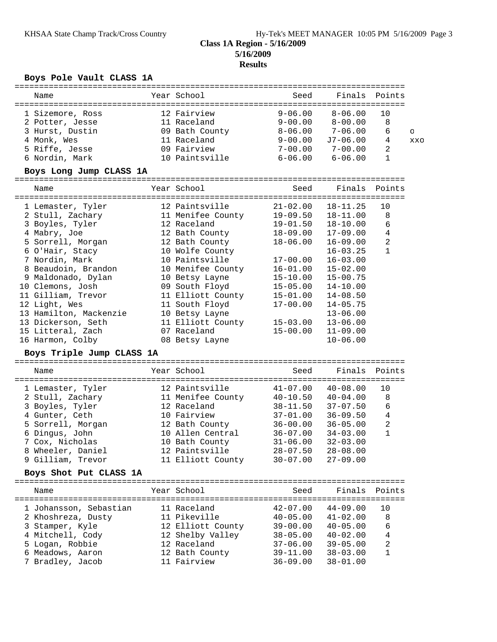### **5/16/2009 Results**

# **Boys Pole Vault CLASS 1A**

| Name                                 | Year School                   | Seed                         | Finals                       | Points         |         |
|--------------------------------------|-------------------------------|------------------------------|------------------------------|----------------|---------|
|                                      |                               |                              |                              |                |         |
| 1 Sizemore, Ross                     | 12 Fairview                   | $9 - 06.00$                  | $8 - 06.00$                  | 10             |         |
| 2 Potter, Jesse                      | 11 Raceland                   | $9 - 00.00$                  | $8 - 00.00$                  | 8              |         |
| 3 Hurst, Dustin                      | 09 Bath County                | $8 - 06.00$                  | $7 - 06.00$                  | 6              | $\circ$ |
| 4 Monk, Wes                          | 11 Raceland                   | $9 - 00.00$                  | $J7-06.00$                   | 4              | XXO     |
| 5 Riffe, Jesse                       | 09 Fairview                   | $7 - 00.00$                  | $7 - 00.00$                  | 2              |         |
| 6 Nordin, Mark                       | 10 Paintsville                | $6 - 06.00$                  | $6 - 06.00$                  | 1              |         |
| Boys Long Jump CLASS 1A              |                               |                              |                              |                |         |
| Name                                 | Year School                   | Seed                         | Finals                       | Points         |         |
|                                      |                               |                              |                              |                |         |
| 1 Lemaster, Tyler                    | 12 Paintsville                | $21 - 02.00$                 | $18 - 11.25$                 | 10             |         |
| 2 Stull, Zachary                     | 11 Menifee County             | $19 - 09.50$                 | $18 - 11.00$                 | 8              |         |
| 3 Boyles, Tyler                      | 12 Raceland                   | $19 - 01.50$                 | $18 - 10.00$                 | 6              |         |
| 4 Mabry, Joe                         | 12 Bath County                | $18 - 09.00$                 | $17 - 09.00$                 | $\overline{4}$ |         |
| 5 Sorrell, Morgan                    | 12 Bath County                | $18 - 06.00$                 | $16 - 09.00$                 | 2              |         |
| 6 O'Hair, Stacy                      | 10 Wolfe County               |                              | $16 - 03.25$                 | $\mathbf 1$    |         |
| 7 Nordin, Mark                       | 10 Paintsville                | $17 - 00.00$                 | $16 - 03.00$                 |                |         |
| 8 Beaudoin, Brandon                  | 10 Menifee County             | $16 - 01.00$                 | $15 - 02.00$                 |                |         |
| 9 Maldonado, Dylan                   | 10 Betsy Layne                | $15 - 10.00$                 | $15 - 00.75$                 |                |         |
| 10 Clemons, Josh                     | 09 South Floyd                | $15 - 05.00$                 | $14 - 10.00$                 |                |         |
| 11 Gilliam, Trevor                   | 11 Elliott County             | $15 - 01.00$                 | $14 - 08.50$                 |                |         |
| 12 Light, Wes                        | 11 South Floyd                | $17 - 00.00$                 | $14 - 05.75$                 |                |         |
| 13 Hamilton, Mackenzie               | 10 Betsy Layne                |                              | $13 - 06.00$                 |                |         |
| 13 Dickerson, Seth                   | 11 Elliott County             | $15 - 03.00$                 | $13 - 06.00$                 |                |         |
| 15 Litteral, Zach                    | 07 Raceland                   | $15 - 00.00$                 | $11 - 09.00$                 |                |         |
| 16 Harmon, Colby                     | 08 Betsy Layne                |                              | $10 - 06.00$                 |                |         |
| Boys Triple Jump CLASS 1A            |                               |                              |                              |                |         |
| Name                                 | Year School                   | Seed                         | Finals                       | Points         |         |
|                                      |                               |                              |                              |                |         |
| 1 Lemaster, Tyler                    | 12 Paintsville                | $41 - 07.00$                 | $40 - 08.00$                 | 10             |         |
| 2 Stull, Zachary                     | 11 Menifee County             | $40 - 10.50$                 | $40 - 04.00$                 | 8              |         |
| 3 Boyles, Tyler                      | 12 Raceland                   | $38 - 11.50$                 | $37 - 07.50$                 | 6              |         |
| 4 Gunter, Ceth                       | 10 Fairview                   | $37 - 01.00$                 | $36 - 09.50$                 | 4              |         |
| 5 Sorrell, Morgan                    | 12 Bath County                | $36 - 00.00$                 | $36 - 05.00$                 | 2              |         |
| 6 Dingus, John                       | 10 Allen Central              | $36 - 07.00$                 | $34 - 03.00$                 | 1              |         |
| 7 Cox, Nicholas                      | 10 Bath County                | $31 - 06.00$                 | $32 - 03.00$                 |                |         |
| 8 Wheeler, Daniel                    | 12 Paintsville                | $28 - 07.50$                 | $28 - 08.00$                 |                |         |
| 9 Gilliam, Trevor                    | 11 Elliott County             | $30 - 07.00$                 | $27 - 09.00$                 |                |         |
| Boys Shot Put CLASS 1A               |                               |                              |                              |                |         |
|                                      |                               |                              |                              |                |         |
| Name                                 | Year School                   | Seed                         | Finals Points                |                |         |
|                                      |                               |                              |                              |                |         |
| 1 Johansson, Sebastian               | 11 Raceland                   | $42 - 07.00$                 | $44 - 09.00$                 | 10             |         |
| 2 Khoshreza, Dusty                   | 11 Pikeville                  | $40 - 05.00$                 | $41 - 02.00$                 | 8              |         |
| 3 Stamper, Kyle                      | 12 Elliott County             | $39 - 00.00$                 | $40 - 05.00$                 | 6              |         |
| 4 Mitchell, Cody                     | 12 Shelby Valley              | $38 - 05.00$                 | $40 - 02.00$                 | 4              |         |
| 5 Logan, Robbie                      | 12 Raceland                   | $37 - 06.00$                 | $39 - 05.00$                 | 2              |         |
| 6 Meadows, Aaron<br>7 Bradley, Jacob | 12 Bath County<br>11 Fairview | $39 - 11.00$<br>$36 - 09.00$ | $38 - 03.00$<br>$38 - 01.00$ | 1              |         |
|                                      |                               |                              |                              |                |         |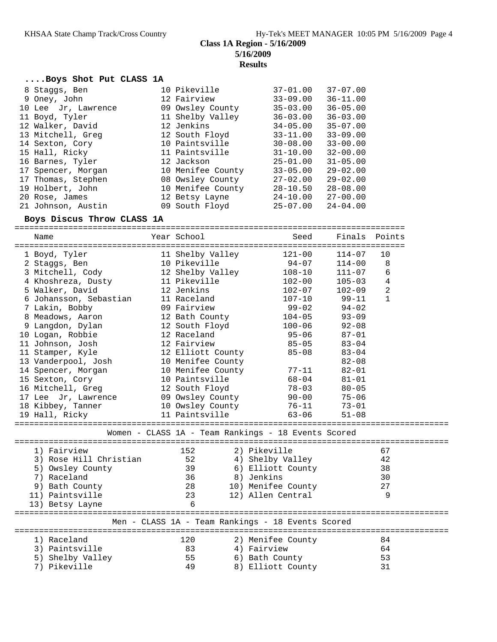# **Results**

#### **....Boys Shot Put CLASS 1A**

| 8 Staggs, Ben       | 10 Pikeville      | $37 - 01.00$ | $37 - 07.00$ |
|---------------------|-------------------|--------------|--------------|
| 9 Oney, John        | 12 Fairview       | $33 - 09.00$ | $36 - 11.00$ |
| 10 Lee Jr, Lawrence | 09 Owsley County  | $35 - 03.00$ | $36 - 05.00$ |
| 11 Boyd, Tyler      | 11 Shelby Valley  | $36 - 03.00$ | $36 - 03.00$ |
| 12 Walker, David    | 12 Jenkins        | $34 - 05.00$ | $35 - 07.00$ |
| 13 Mitchell, Greg   | 12 South Floyd    | $33 - 11.00$ | $33 - 09.00$ |
| 14 Sexton, Cory     | 10 Paintsville    | $30 - 08.00$ | $33 - 00.00$ |
| 15 Hall, Ricky      | 11 Paintsville    | $31 - 10.00$ | $32 - 00.00$ |
| 16 Barnes, Tyler    | 12 Jackson        | $25 - 01.00$ | $31 - 05.00$ |
| 17 Spencer, Morgan  | 10 Menifee County | $33 - 05.00$ | $29 - 02.00$ |
| 17 Thomas, Stephen  | 08 Owsley County  | $27 - 02.00$ | $29 - 02.00$ |
| 19 Holbert, John    | 10 Menifee County | 28-10.50     | $28 - 08.00$ |
| 20 Rose, James      | 12 Betsy Layne    | 24-10.00     | $27 - 00.00$ |
| 21 Johnson, Austin  | 09 South Floyd    | $25 - 07.00$ | $24 - 04.00$ |

### **Boys Discus Throw CLASS 1A**

================================================================================ Name Year School Seed Finals Points ================================================================================ 1 Boyd, Tyler 11 Shelby Valley 121-00 114-07 10 2 Staggs, Ben 10 Pikeville 94-07 114-00 8 3 Mitchell, Cody 12 Shelby Valley 108-10 111-07 6 4 Khoshreza, Dusty 11 Pikeville 102-00 105-03 4 5 Walker, David 12 Jenkins 102-07 102-09 2 6 Johansson, Sebastian 11 Raceland 107-10 99-11 1 7 Lakin, Bobby 09 Fairview 99-02 94-02 8 Meadows, Aaron 12 Bath County 104-05 93-09 9 Langdon, Dylan 12 South Floyd 100-06 92-08 10 Logan, Robbie 12 Raceland 95-06 87-01 11 Johnson, Josh 12 Fairview 85-05 83-04 11 Stamper, Kyle 12 Elliott County 85-08 83-04 13 Vanderpool, Josh 10 Menifee County 82-08 14 Spencer, Morgan 10 Menifee County 77-11 82-01 15 Sexton, Cory 10 Paintsville 68-04 81-01 16 Mitchell, Greg 12 South Floyd 78-03 80-05 17 Lee Jr, Lawrence 09 Owsley County 90-00 75-06 18 Kibbey, Tanner 10 Owsley County 76-11 73-01 19 Hall, Ricky 11 Paintsville 63-06 51-08 ========================================================================================= Women - CLASS 1A - Team Rankings - 18 Events Scored ========================================================================================= 1) Fairview 152 2) Pikeville 67 3) Rose Hill Christian 52 4) Shelby Valley 42 5) Owsley County 39 6) Elliott County 38 7) Raceland 36 8) Jenkins 30 9) Bath County 28 10) Menifee County 27 11) Paintsville 23 12) Allen Central 9 13) Betsy Layne 6 ========================================================================================= Men - CLASS 1A - Team Rankings - 18 Events Scored =========================================================================================

 1) Raceland 120 2) Menifee County 84 3) Paintsville 83 4) Fairview 64 5) Shelby Valley 55 6) Bath County 53 7) Pikeville 49 8) Elliott County 31